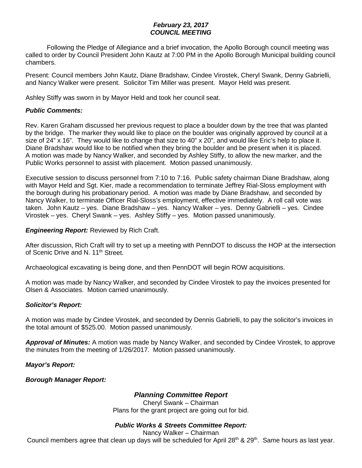## *February 23, 2017 COUNCIL MEETING*

Following the Pledge of Allegiance and a brief invocation, the Apollo Borough council meeting was called to order by Council President John Kautz at 7:00 PM in the Apollo Borough Municipal building council chambers.

Present: Council members John Kautz, Diane Bradshaw, Cindee Virostek, Cheryl Swank, Denny Gabrielli, and Nancy Walker were present. Solicitor Tim Miller was present. Mayor Held was present.

Ashley Stiffy was sworn in by Mayor Held and took her council seat.

## *Public Comments:*

Rev. Karen Graham discussed her previous request to place a boulder down by the tree that was planted by the bridge. The marker they would like to place on the boulder was originally approved by council at a size of 24" x 16". They would like to change that size to 40" x 20", and would like Eric's help to place it. Diane Bradshaw would like to be notified when they bring the boulder and be present when it is placed. A motion was made by Nancy Walker, and seconded by Ashley Stiffy, to allow the new marker, and the Public Works personnel to assist with placement. Motion passed unanimously.

Executive session to discuss personnel from 7:10 to 7:16. Public safety chairman Diane Bradshaw, along with Mayor Held and Sgt. Kier, made a recommendation to terminate Jeffrey Rial-Sloss employment with the borough during his probationary period. A motion was made by Diane Bradshaw, and seconded by Nancy Walker, to terminate Officer Rial-Sloss's employment, effective immediately. A roll call vote was taken. John Kautz – yes. Diane Bradshaw – yes. Nancy Walker – yes. Denny Gabrielli – yes. Cindee Virostek – yes. Cheryl Swank – yes. Ashley Stiffy – yes. Motion passed unanimously.

### *Engineering Report:* Reviewed by Rich Craft.

After discussion, Rich Craft will try to set up a meeting with PennDOT to discuss the HOP at the intersection of Scenic Drive and N. 11<sup>th</sup> Street.

Archaeological excavating is being done, and then PennDOT will begin ROW acquisitions.

A motion was made by Nancy Walker, and seconded by Cindee Virostek to pay the invoices presented for Olsen & Associates. Motion carried unanimously.

## *Solicitor's Report:*

A motion was made by Cindee Virostek, and seconded by Dennis Gabrielli, to pay the solicitor's invoices in the total amount of \$525.00. Motion passed unanimously.

*Approval of Minutes:* A motion was made by Nancy Walker, and seconded by Cindee Virostek, to approve the minutes from the meeting of 1/26/2017. Motion passed unanimously.

*Mayor's Report:* 

*Borough Manager Report:* 

# *Planning Committee Report*

Cheryl Swank – Chairman Plans for the grant project are going out for bid.

## *Public Works & Streets Committee Report:*

Nancy Walker – Chairman

Council members agree that clean up days will be scheduled for April  $28<sup>th</sup>$  &  $29<sup>th</sup>$ . Same hours as last year.